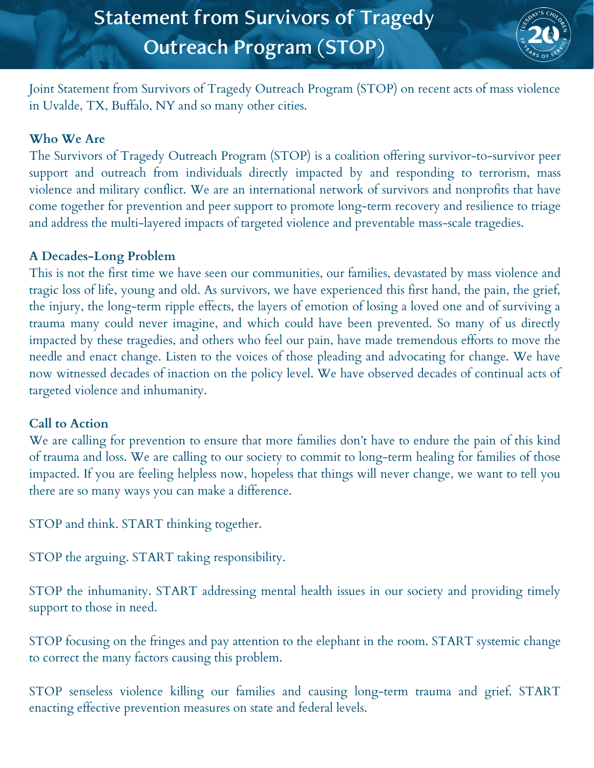

Joint Statement from Survivors of Tragedy Outreach Program (STOP) on recent acts of mass violence in Uvalde, TX, Buffalo, NY and so many other cities.

## **Who We Are**

The Survivors of Tragedy Outreach Program (STOP) is a coalition offering survivor-to-survivor peer support and outreach from individuals directly impacted by and responding to terrorism, mass violence and military conflict. We are an international network of survivors and nonprofits that have come together for prevention and peer support to promote long-term recovery and resilience to triage and address the multi-layered impacts of targeted violence and preventable mass-scale tragedies.

## **A Decades-Long Problem**

This is not the first time we have seen our communities, our families, devastated by mass violence and tragic loss of life, young and old. As survivors, we have experienced this first hand, the pain, the grief, the injury, the long-term ripple effects, the layers of emotion of losing a loved one and of surviving a trauma many could never imagine, and which could have been prevented. So many of us directly impacted by these tragedies, and others who feel our pain, have made tremendous efforts to move the needle and enact change. Listen to the voices of those pleading and advocating for change. We have now witnessed decades of inaction on the policy level. We have observed decades of continual acts of targeted violence and inhumanity.

## **Call to Action**

We are calling for prevention to ensure that more families don't have to endure the pain of this kind of trauma and loss. We are calling to our society to commit to long-term healing for families of those impacted. If you are feeling helpless now, hopeless that things will never change, we want to tell you there are so many ways you can make a difference.

STOP and think. START thinking together.

STOP the arguing. START taking responsibility.

STOP the inhumanity. START addressing mental health issues in our society and providing timely support to those in need.

STOP focusing on the fringes and pay attention to the elephant in the room. START systemic change to correct the many factors causing this problem.

STOP senseless violence killing our families and causing long-term trauma and grief. START enacting effective prevention measures on state and federal levels.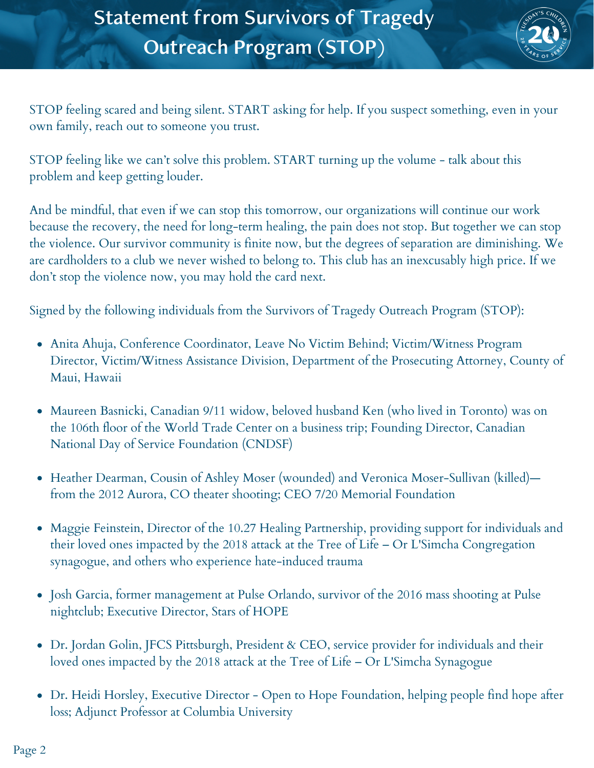

STOP feeling scared and being silent. START asking for help. If you suspect something, even in your own family, reach out to someone you trust.

STOP feeling like we can't solve this problem. START turning up the volume - talk about this problem and keep getting louder.

And be mindful, that even if we can stop this tomorrow, our organizations will continue our work because the recovery, the need for long-term healing, the pain does not stop. But together we can stop the violence. Our survivor community is finite now, but the degrees of separation are diminishing. We are cardholders to a club we never wished to belong to. This club has an inexcusably high price. If we don't stop the violence now, you may hold the card next.

Signed by the following individuals from the Survivors of Tragedy Outreach Program (STOP):

- Anita Ahuja, Conference Coordinator, Leave No Victim Behind; Victim/Witness Program Director, Victim/Witness Assistance Division, Department of the Prosecuting Attorney, County of Maui, Hawaii
- Maureen Basnicki, Canadian 9/11 widow, beloved husband Ken (who lived in Toronto) was on the 106th floor of the World Trade Center on a business trip; Founding Director, Canadian National Day of Service Foundation (CNDSF)
- Heather Dearman, Cousin of Ashley Moser (wounded) and Veronica Moser-Sullivan (killed) from the 2012 Aurora, CO theater shooting; CEO 7/20 Memorial Foundation
- Maggie Feinstein, Director of the 10.27 Healing Partnership, providing support for individuals and their loved ones impacted by the 2018 attack at the Tree of Life – Or L'Simcha Congregation synagogue, and others who experience hate-induced trauma
- Josh Garcia, former management at Pulse Orlando, survivor of the 2016 mass shooting at Pulse nightclub; Executive Director, Stars of HOPE
- Dr. Jordan Golin, JFCS Pittsburgh, President & CEO, service provider for individuals and their loved ones impacted by the 2018 attack at the Tree of Life – Or L'Simcha Synagogue
- Dr. Heidi Horsley, Executive Director Open to Hope Foundation, helping people find hope after loss; Adjunct Professor at Columbia University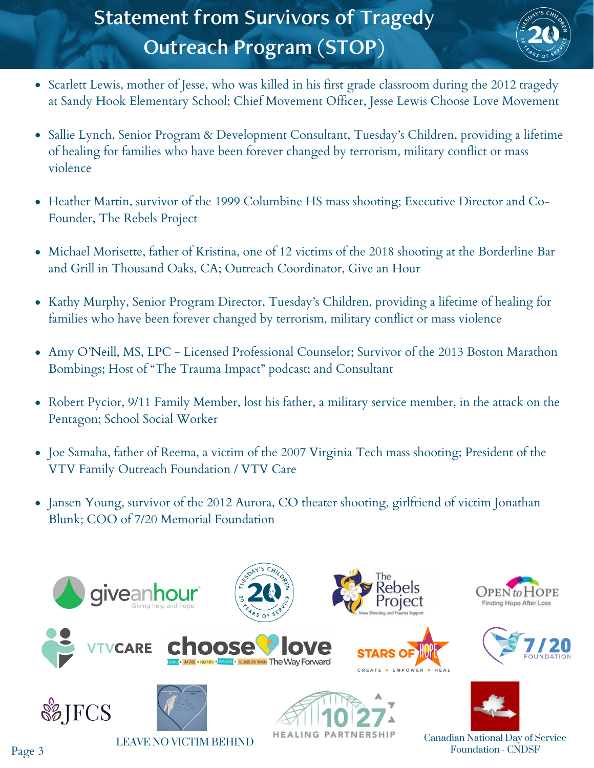# Statement from Survivors of Tragedy Outreach Program (STOP)



- Scarlett Lewis, mother of Jesse, who was killed in his first grade classroom during the 2012 tragedy at Sandy Hook Elementary School; Chief Movement Officer, Jesse Lewis Choose Love Movement
- Sallie Lynch, Senior Program & Development Consultant, Tuesday's Children, providing a lifetime of healing for families who have been forever changed by terrorism, military conflict or mass violence
- Heather Martin, survivor of the 1999 Columbine HS mass shooting; Executive Director and Co-Founder, The Rebels Project
- Michael Morisette, father of Kristina, one of 12 victims of the 2018 shooting at the Borderline Bar and Grill in Thousand Oaks, CA; Outreach Coordinator, Give an Hour
- Kathy Murphy, Senior Program Director, Tuesday's Children, providing a lifetime of healing for families who have been forever changed by terrorism, military conflict or mass violence
- Amy O'Neill, MS, LPC Licensed Professional Counselor; Survivor of the 2013 Boston Marathon Bombings; Host of "The Trauma Impact" podcast; and Consultant
- Robert Pycior, 9/11 Family Member, lost his father, a military service member, in the attack on the Pentagon; School Social Worker
- Joe Samaha, father of Reema, a victim of the 2007 Virginia Tech mass shooting; President of the VTV Family Outreach Foundation / VTV Care
- Jansen Young, survivor of the 2012 Aurora, CO theater shooting, girlfriend of victim Jonathan Blunk; COO of 7/20 Memorial Foundation



Canadian National Day of Service LEAVE NO VICTIM BEHIND<br>Foundation - CNDSF

Page 3